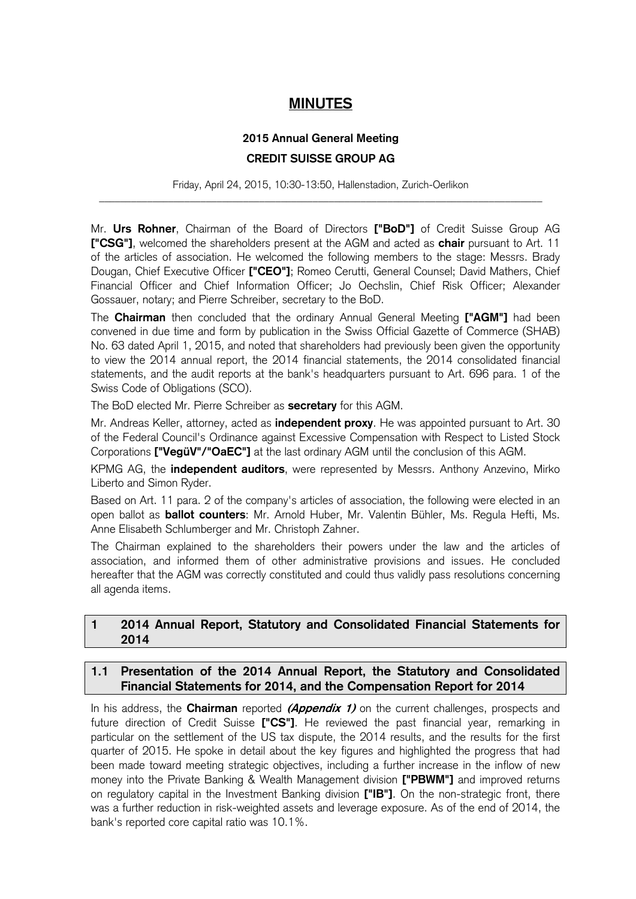# **MINUTES**

# **2015 Annual General Meeting CREDIT SUISSE GROUP AG**

Friday, April 24, 2015, 10:30-13:50, Hallenstadion, Zurich-Oerlikon \_\_\_\_\_\_\_\_\_\_\_\_\_\_\_\_\_\_\_\_\_\_\_\_\_\_\_\_\_\_\_\_\_\_\_\_\_\_\_\_\_\_\_\_\_\_\_\_\_\_\_\_\_\_\_\_\_\_\_\_\_\_\_\_\_\_\_\_\_\_\_\_\_\_\_\_\_\_\_\_\_\_\_

Mr. **Urs Rohner**, Chairman of the Board of Directors **["BoD"]** of Credit Suisse Group AG **["CSG"]**, welcomed the shareholders present at the AGM and acted as **chair** pursuant to Art. 11 of the articles of association. He welcomed the following members to the stage: Messrs. Brady Dougan, Chief Executive Officer **["CEO"]**; Romeo Cerutti, General Counsel; David Mathers, Chief Financial Officer and Chief Information Officer; Jo Oechslin, Chief Risk Officer; Alexander Gossauer, notary; and Pierre Schreiber, secretary to the BoD.

The **Chairman** then concluded that the ordinary Annual General Meeting **["AGM"]** had been convened in due time and form by publication in the Swiss Official Gazette of Commerce (SHAB) No. 63 dated April 1, 2015, and noted that shareholders had previously been given the opportunity to view the 2014 annual report, the 2014 financial statements, the 2014 consolidated financial statements, and the audit reports at the bank's headquarters pursuant to Art. 696 para. 1 of the Swiss Code of Obligations (SCO).

The BoD elected Mr. Pierre Schreiber as **secretary** for this AGM.

Mr. Andreas Keller, attorney, acted as **independent proxy**. He was appointed pursuant to Art. 30 of the Federal Council's Ordinance against Excessive Compensation with Respect to Listed Stock Corporations **["VegüV"/"OaEC"]** at the last ordinary AGM until the conclusion of this AGM.

KPMG AG, the **independent auditors**, were represented by Messrs. Anthony Anzevino, Mirko Liberto and Simon Ryder.

Based on Art. 11 para. 2 of the company's articles of association, the following were elected in an open ballot as **ballot counters**: Mr. Arnold Huber, Mr. Valentin Bühler, Ms. Regula Hefti, Ms. Anne Elisabeth Schlumberger and Mr. Christoph Zahner.

The Chairman explained to the shareholders their powers under the law and the articles of association, and informed them of other administrative provisions and issues. He concluded hereafter that the AGM was correctly constituted and could thus validly pass resolutions concerning all agenda items.

# **1 2014 Annual Report, Statutory and Consolidated Financial Statements for 2014**

# **1.1 Presentation of the 2014 Annual Report, the Statutory and Consolidated Financial Statements for 2014, and the Compensation Report for 2014**

In his address, the **Chairman** reported **(Appendix 1)** on the current challenges, prospects and future direction of Credit Suisse **["CS"]**. He reviewed the past financial year, remarking in particular on the settlement of the US tax dispute, the 2014 results, and the results for the first quarter of 2015. He spoke in detail about the key figures and highlighted the progress that had been made toward meeting strategic objectives, including a further increase in the inflow of new money into the Private Banking & Wealth Management division **["PBWM"]** and improved returns on regulatory capital in the Investment Banking division **["IB"]**. On the non-strategic front, there was a further reduction in risk-weighted assets and leverage exposure. As of the end of 2014, the bank's reported core capital ratio was 10.1%.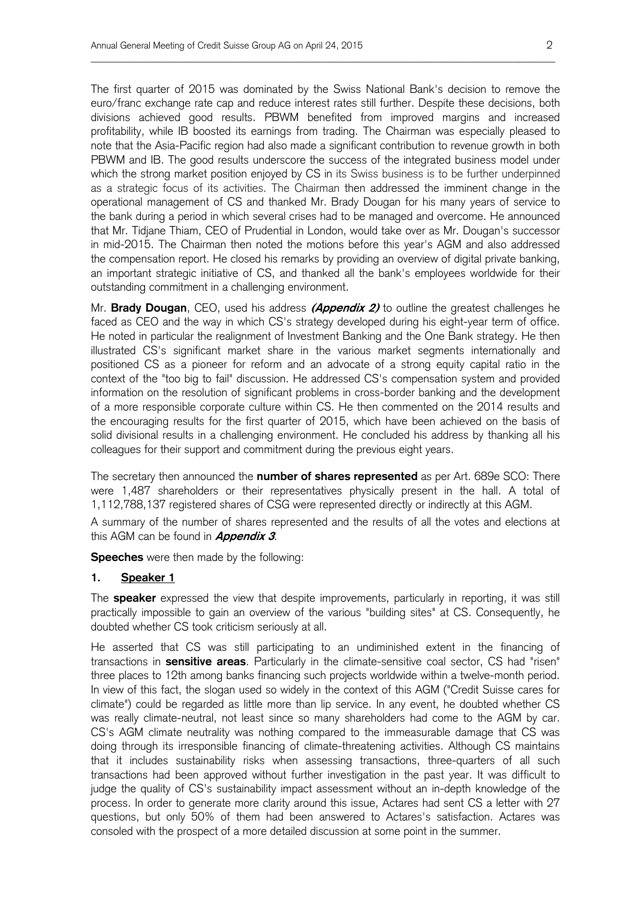The first quarter of 2015 was dominated by the Swiss National Bank's decision to remove the euro/franc exchange rate cap and reduce interest rates still further. Despite these decisions, both divisions achieved good results. PBWM benefited from improved margins and increased profitability, while IB boosted its earnings from trading. The Chairman was especially pleased to note that the Asia-Pacific region had also made a significant contribution to revenue growth in both PBWM and IB. The good results underscore the success of the integrated business model under which the strong market position enjoyed by CS in its Swiss business is to be further underpinned as a strategic focus of its activities. The Chairman then addressed the imminent change in the operational management of CS and thanked Mr. Brady Dougan for his many years of service to the bank during a period in which several crises had to be managed and overcome. He announced that Mr. Tidjane Thiam, CEO of Prudential in London, would take over as Mr. Dougan's successor in mid-2015. The Chairman then noted the motions before this year's AGM and also addressed the compensation report. He closed his remarks by providing an overview of digital private banking, an important strategic initiative of CS, and thanked all the bank's employees worldwide for their outstanding commitment in a challenging environment.

\_\_\_\_\_\_\_\_\_\_\_\_\_\_\_\_\_\_\_\_\_\_\_\_\_\_\_\_\_\_\_\_\_\_\_\_\_\_\_\_\_\_\_\_\_\_\_\_\_\_\_\_\_\_\_\_\_\_\_\_\_\_\_\_\_\_\_\_\_\_\_\_\_\_\_\_\_\_\_\_\_\_\_\_\_\_\_

Mr. **Brady Dougan**, CEO, used his address **(Appendix 2)** to outline the greatest challenges he faced as CEO and the way in which CS's strategy developed during his eight-year term of office. He noted in particular the realignment of Investment Banking and the One Bank strategy. He then illustrated CS's significant market share in the various market segments internationally and positioned CS as a pioneer for reform and an advocate of a strong equity capital ratio in the context of the "too big to fail" discussion. He addressed CS's compensation system and provided information on the resolution of significant problems in cross-border banking and the development of a more responsible corporate culture within CS. He then commented on the 2014 results and the encouraging results for the first quarter of 2015, which have been achieved on the basis of solid divisional results in a challenging environment. He concluded his address by thanking all his colleagues for their support and commitment during the previous eight years.

The secretary then announced the **number of shares represented** as per Art. 689e SCO: There were 1,487 shareholders or their representatives physically present in the hall. A total of 1,112,788,137 registered shares of CSG were represented directly or indirectly at this AGM.

A summary of the number of shares represented and the results of all the votes and elections at this AGM can be found in **Appendix 3**.

**Speeches** were then made by the following:

#### **1. Speaker 1**

The **speaker** expressed the view that despite improvements, particularly in reporting, it was still practically impossible to gain an overview of the various "building sites" at CS. Consequently, he doubted whether CS took criticism seriously at all.

He asserted that CS was still participating to an undiminished extent in the financing of transactions in **sensitive areas**. Particularly in the climate-sensitive coal sector, CS had "risen" three places to 12th among banks financing such projects worldwide within a twelve-month period. In view of this fact, the slogan used so widely in the context of this AGM ("Credit Suisse cares for climate") could be regarded as little more than lip service. In any event, he doubted whether CS was really climate-neutral, not least since so many shareholders had come to the AGM by car. CS's AGM climate neutrality was nothing compared to the immeasurable damage that CS was doing through its irresponsible financing of climate-threatening activities. Although CS maintains that it includes sustainability risks when assessing transactions, three-quarters of all such transactions had been approved without further investigation in the past year. It was difficult to judge the quality of CS's sustainability impact assessment without an in-depth knowledge of the process. In order to generate more clarity around this issue, Actares had sent CS a letter with 27 questions, but only 50% of them had been answered to Actares's satisfaction. Actares was consoled with the prospect of a more detailed discussion at some point in the summer.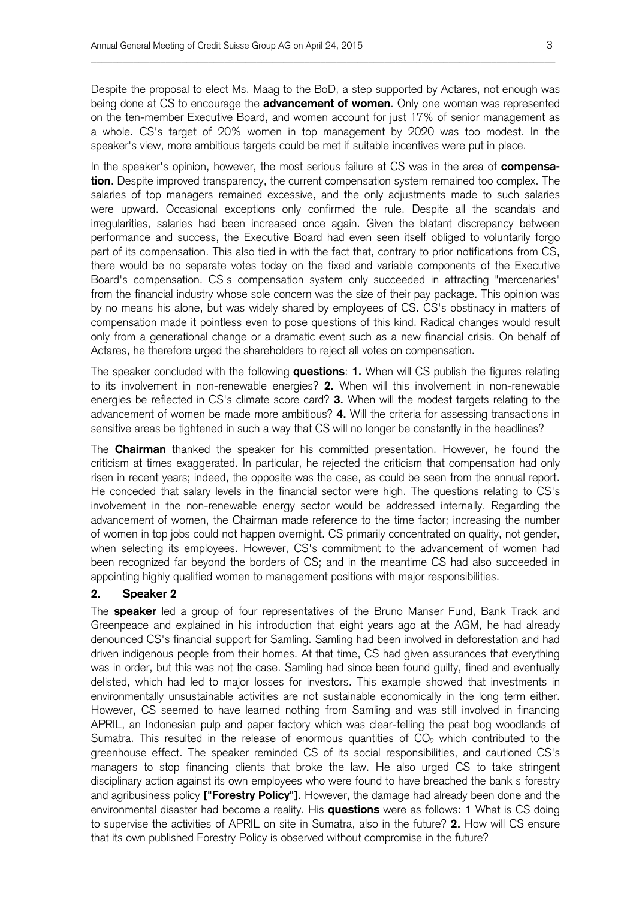Despite the proposal to elect Ms. Maag to the BoD, a step supported by Actares, not enough was being done at CS to encourage the **advancement of women**. Only one woman was represented on the ten-member Executive Board, and women account for just 17% of senior management as a whole. CS's target of 20% women in top management by 2020 was too modest. In the speaker's view, more ambitious targets could be met if suitable incentives were put in place.

\_\_\_\_\_\_\_\_\_\_\_\_\_\_\_\_\_\_\_\_\_\_\_\_\_\_\_\_\_\_\_\_\_\_\_\_\_\_\_\_\_\_\_\_\_\_\_\_\_\_\_\_\_\_\_\_\_\_\_\_\_\_\_\_\_\_\_\_\_\_\_\_\_\_\_\_\_\_\_\_\_\_\_\_\_\_\_

In the speaker's opinion, however, the most serious failure at CS was in the area of **compensation**. Despite improved transparency, the current compensation system remained too complex. The salaries of top managers remained excessive, and the only adjustments made to such salaries were upward. Occasional exceptions only confirmed the rule. Despite all the scandals and irregularities, salaries had been increased once again. Given the blatant discrepancy between performance and success, the Executive Board had even seen itself obliged to voluntarily forgo part of its compensation. This also tied in with the fact that, contrary to prior notifications from CS, there would be no separate votes today on the fixed and variable components of the Executive Board's compensation. CS's compensation system only succeeded in attracting "mercenaries" from the financial industry whose sole concern was the size of their pay package. This opinion was by no means his alone, but was widely shared by employees of CS. CS's obstinacy in matters of compensation made it pointless even to pose questions of this kind. Radical changes would result only from a generational change or a dramatic event such as a new financial crisis. On behalf of Actares, he therefore urged the shareholders to reject all votes on compensation.

The speaker concluded with the following **questions**: **1.** When will CS publish the figures relating to its involvement in non-renewable energies? **2.** When will this involvement in non-renewable energies be reflected in CS's climate score card? **3.** When will the modest targets relating to the advancement of women be made more ambitious? **4.** Will the criteria for assessing transactions in sensitive areas be tightened in such a way that CS will no longer be constantly in the headlines?

The **Chairman** thanked the speaker for his committed presentation. However, he found the criticism at times exaggerated. In particular, he rejected the criticism that compensation had only risen in recent years; indeed, the opposite was the case, as could be seen from the annual report. He conceded that salary levels in the financial sector were high. The questions relating to CS's involvement in the non-renewable energy sector would be addressed internally. Regarding the advancement of women, the Chairman made reference to the time factor; increasing the number of women in top jobs could not happen overnight. CS primarily concentrated on quality, not gender, when selecting its employees. However, CS's commitment to the advancement of women had been recognized far beyond the borders of CS; and in the meantime CS had also succeeded in appointing highly qualified women to management positions with major responsibilities.

### **2. Speaker 2**

The **speaker** led a group of four representatives of the Bruno Manser Fund, Bank Track and Greenpeace and explained in his introduction that eight years ago at the AGM, he had already denounced CS's financial support for Samling. Samling had been involved in deforestation and had driven indigenous people from their homes. At that time, CS had given assurances that everything was in order, but this was not the case. Samling had since been found guilty, fined and eventually delisted, which had led to major losses for investors. This example showed that investments in environmentally unsustainable activities are not sustainable economically in the long term either. However, CS seemed to have learned nothing from Samling and was still involved in financing APRIL, an Indonesian pulp and paper factory which was clear-felling the peat bog woodlands of Sumatra. This resulted in the release of enormous quantities of  $CO<sub>2</sub>$  which contributed to the greenhouse effect. The speaker reminded CS of its social responsibilities, and cautioned CS's managers to stop financing clients that broke the law. He also urged CS to take stringent disciplinary action against its own employees who were found to have breached the bank's forestry and agribusiness policy **["Forestry Policy"]**. However, the damage had already been done and the environmental disaster had become a reality. His **questions** were as follows: **1** What is CS doing to supervise the activities of APRIL on site in Sumatra, also in the future? **2.** How will CS ensure that its own published Forestry Policy is observed without compromise in the future?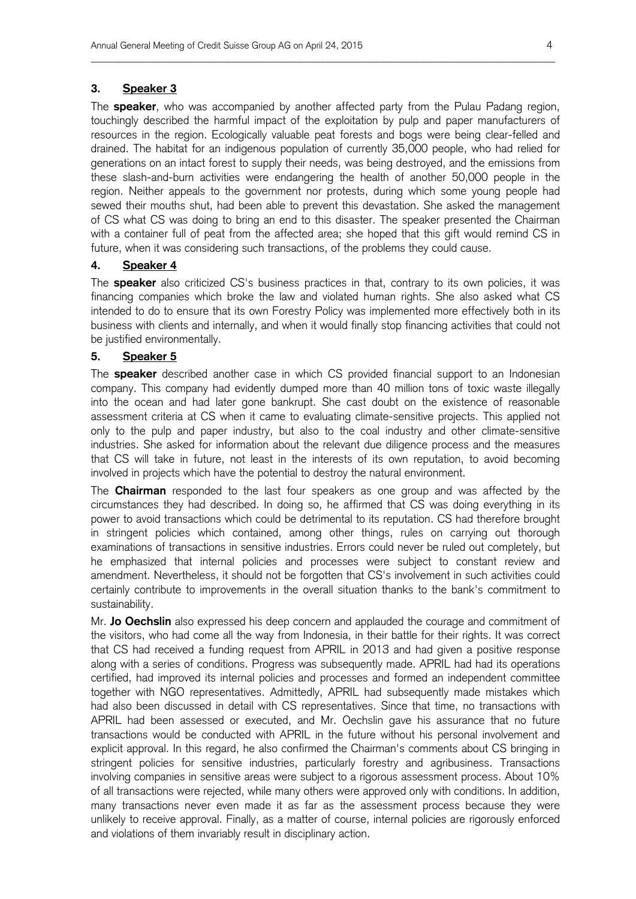#### **3. Speaker 3**

The **speaker**, who was accompanied by another affected party from the Pulau Padang region, touchingly described the harmful impact of the exploitation by pulp and paper manufacturers of resources in the region. Ecologically valuable peat forests and bogs were being clear-felled and drained. The habitat for an indigenous population of currently 35,000 people, who had relied for generations on an intact forest to supply their needs, was being destroyed, and the emissions from these slash-and-burn activities were endangering the health of another 50,000 people in the region. Neither appeals to the government nor protests, during which some young people had sewed their mouths shut, had been able to prevent this devastation. She asked the management of CS what CS was doing to bring an end to this disaster. The speaker presented the Chairman with a container full of peat from the affected area; she hoped that this gift would remind CS in future, when it was considering such transactions, of the problems they could cause.

\_\_\_\_\_\_\_\_\_\_\_\_\_\_\_\_\_\_\_\_\_\_\_\_\_\_\_\_\_\_\_\_\_\_\_\_\_\_\_\_\_\_\_\_\_\_\_\_\_\_\_\_\_\_\_\_\_\_\_\_\_\_\_\_\_\_\_\_\_\_\_\_\_\_\_\_\_\_\_\_\_\_\_\_\_\_\_

### **4. Speaker 4**

The **speaker** also criticized CS's business practices in that, contrary to its own policies, it was financing companies which broke the law and violated human rights. She also asked what CS intended to do to ensure that its own Forestry Policy was implemented more effectively both in its business with clients and internally, and when it would finally stop financing activities that could not be justified environmentally.

#### **5. Speaker 5**

The **speaker** described another case in which CS provided financial support to an Indonesian company. This company had evidently dumped more than 40 million tons of toxic waste illegally into the ocean and had later gone bankrupt. She cast doubt on the existence of reasonable assessment criteria at CS when it came to evaluating climate-sensitive projects. This applied not only to the pulp and paper industry, but also to the coal industry and other climate-sensitive industries. She asked for information about the relevant due diligence process and the measures that CS will take in future, not least in the interests of its own reputation, to avoid becoming involved in projects which have the potential to destroy the natural environment.

The **Chairman** responded to the last four speakers as one group and was affected by the circumstances they had described. In doing so, he affirmed that CS was doing everything in its power to avoid transactions which could be detrimental to its reputation. CS had therefore brought in stringent policies which contained, among other things, rules on carrying out thorough examinations of transactions in sensitive industries. Errors could never be ruled out completely, but he emphasized that internal policies and processes were subject to constant review and amendment. Nevertheless, it should not be forgotten that CS's involvement in such activities could certainly contribute to improvements in the overall situation thanks to the bank's commitment to sustainability.

Mr. **Jo Oechslin** also expressed his deep concern and applauded the courage and commitment of the visitors, who had come all the way from Indonesia, in their battle for their rights. It was correct that CS had received a funding request from APRIL in 2013 and had given a positive response along with a series of conditions. Progress was subsequently made. APRIL had had its operations certified, had improved its internal policies and processes and formed an independent committee together with NGO representatives. Admittedly, APRIL had subsequently made mistakes which had also been discussed in detail with CS representatives. Since that time, no transactions with APRIL had been assessed or executed, and Mr. Oechslin gave his assurance that no future transactions would be conducted with APRIL in the future without his personal involvement and explicit approval. In this regard, he also confirmed the Chairman's comments about CS bringing in stringent policies for sensitive industries, particularly forestry and agribusiness. Transactions involving companies in sensitive areas were subject to a rigorous assessment process. About 10% of all transactions were rejected, while many others were approved only with conditions. In addition, many transactions never even made it as far as the assessment process because they were unlikely to receive approval. Finally, as a matter of course, internal policies are rigorously enforced and violations of them invariably result in disciplinary action.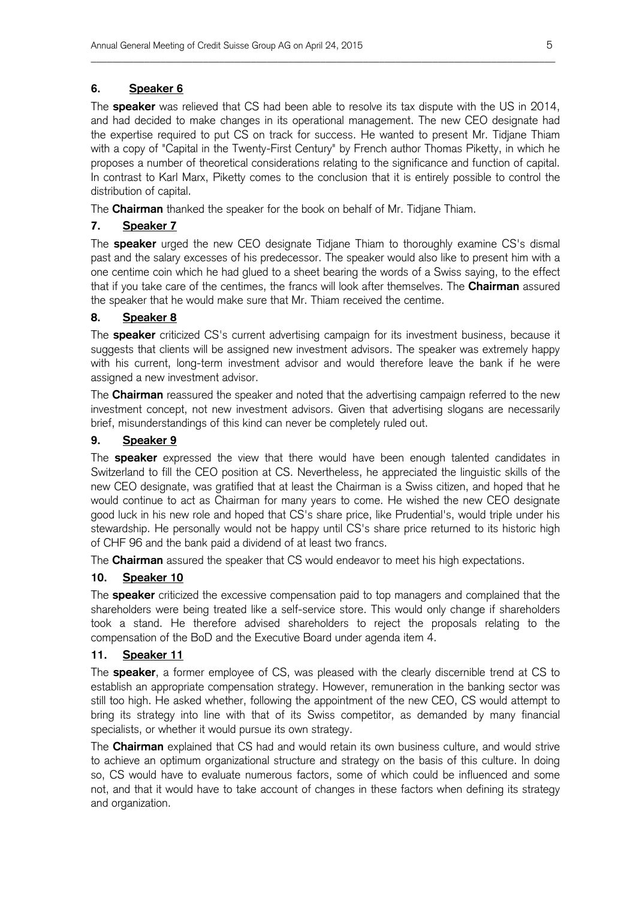### **6. Speaker 6**

The **speaker** was relieved that CS had been able to resolve its tax dispute with the US in 2014, and had decided to make changes in its operational management. The new CEO designate had the expertise required to put CS on track for success. He wanted to present Mr. Tidjane Thiam with a copy of "Capital in the Twenty-First Century" by French author Thomas Piketty, in which he proposes a number of theoretical considerations relating to the significance and function of capital. In contrast to Karl Marx, Piketty comes to the conclusion that it is entirely possible to control the distribution of capital.

\_\_\_\_\_\_\_\_\_\_\_\_\_\_\_\_\_\_\_\_\_\_\_\_\_\_\_\_\_\_\_\_\_\_\_\_\_\_\_\_\_\_\_\_\_\_\_\_\_\_\_\_\_\_\_\_\_\_\_\_\_\_\_\_\_\_\_\_\_\_\_\_\_\_\_\_\_\_\_\_\_\_\_\_\_\_\_

The **Chairman** thanked the speaker for the book on behalf of Mr. Tidjane Thiam.

# **7. Speaker 7**

The **speaker** urged the new CEO designate Tidjane Thiam to thoroughly examine CS's dismal past and the salary excesses of his predecessor. The speaker would also like to present him with a one centime coin which he had glued to a sheet bearing the words of a Swiss saying, to the effect that if you take care of the centimes, the francs will look after themselves. The **Chairman** assured the speaker that he would make sure that Mr. Thiam received the centime.

# **8. Speaker 8**

The **speaker** criticized CS's current advertising campaign for its investment business, because it suggests that clients will be assigned new investment advisors. The speaker was extremely happy with his current, long-term investment advisor and would therefore leave the bank if he were assigned a new investment advisor.

The **Chairman** reassured the speaker and noted that the advertising campaign referred to the new investment concept, not new investment advisors. Given that advertising slogans are necessarily brief, misunderstandings of this kind can never be completely ruled out.

# **9. Speaker 9**

The **speaker** expressed the view that there would have been enough talented candidates in Switzerland to fill the CEO position at CS. Nevertheless, he appreciated the linguistic skills of the new CEO designate, was gratified that at least the Chairman is a Swiss citizen, and hoped that he would continue to act as Chairman for many years to come. He wished the new CEO designate good luck in his new role and hoped that CS's share price, like Prudential's, would triple under his stewardship. He personally would not be happy until CS's share price returned to its historic high of CHF 96 and the bank paid a dividend of at least two francs.

The **Chairman** assured the speaker that CS would endeavor to meet his high expectations.

# **10. Speaker 10**

The **speaker** criticized the excessive compensation paid to top managers and complained that the shareholders were being treated like a self-service store. This would only change if shareholders took a stand. He therefore advised shareholders to reject the proposals relating to the compensation of the BoD and the Executive Board under agenda item 4.

# **11. Speaker 11**

The **speaker**, a former employee of CS, was pleased with the clearly discernible trend at CS to establish an appropriate compensation strategy. However, remuneration in the banking sector was still too high. He asked whether, following the appointment of the new CEO, CS would attempt to bring its strategy into line with that of its Swiss competitor, as demanded by many financial specialists, or whether it would pursue its own strategy.

The **Chairman** explained that CS had and would retain its own business culture, and would strive to achieve an optimum organizational structure and strategy on the basis of this culture. In doing so, CS would have to evaluate numerous factors, some of which could be influenced and some not, and that it would have to take account of changes in these factors when defining its strategy and organization.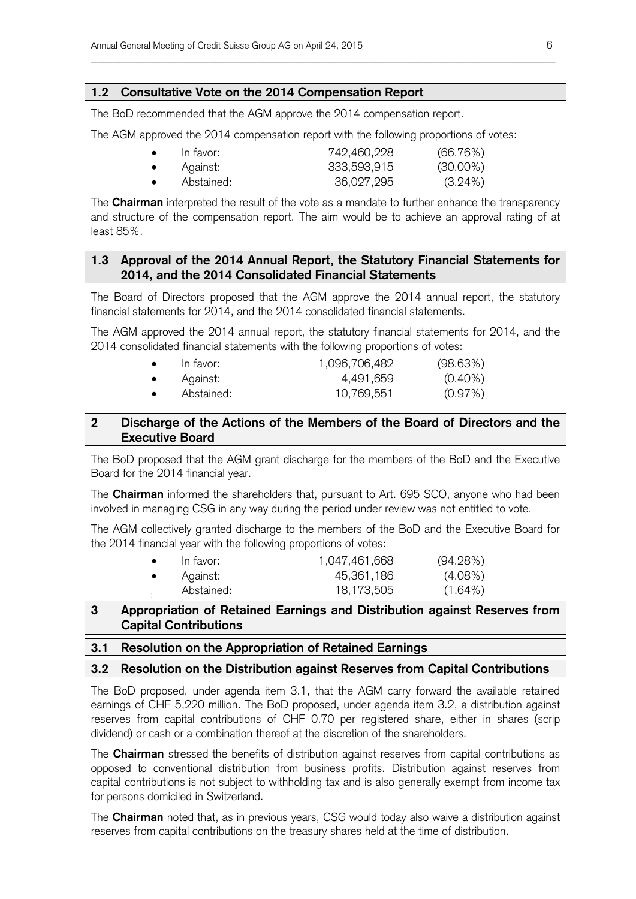### **1.2 Consultative Vote on the 2014 Compensation Report**

The BoD recommended that the AGM approve the 2014 compensation report.

The AGM approved the 2014 compensation report with the following proportions of votes:

| $\bullet$ | In favor:  | 742,460,228 | (66.76%)    |
|-----------|------------|-------------|-------------|
| $\bullet$ | Against:   | 333,593,915 | $(30.00\%)$ |
| $\bullet$ | Abstained: | 36,027,295  | $(3.24\%)$  |

\_\_\_\_\_\_\_\_\_\_\_\_\_\_\_\_\_\_\_\_\_\_\_\_\_\_\_\_\_\_\_\_\_\_\_\_\_\_\_\_\_\_\_\_\_\_\_\_\_\_\_\_\_\_\_\_\_\_\_\_\_\_\_\_\_\_\_\_\_\_\_\_\_\_\_\_\_\_\_\_\_\_\_\_\_\_\_

The **Chairman** interpreted the result of the vote as a mandate to further enhance the transparency and structure of the compensation report. The aim would be to achieve an approval rating of at least 85%.

# **1.3 Approval of the 2014 Annual Report, the Statutory Financial Statements for 2014, and the 2014 Consolidated Financial Statements**

The Board of Directors proposed that the AGM approve the 2014 annual report, the statutory financial statements for 2014, and the 2014 consolidated financial statements.

The AGM approved the 2014 annual report, the statutory financial statements for 2014, and the 2014 consolidated financial statements with the following proportions of votes:

| $\bullet$ | In favor:  | 1,096,706,482 | (98.63%)   |
|-----------|------------|---------------|------------|
| $\bullet$ | Against:   | 4,491,659     | $(0.40\%)$ |
| $\bullet$ | Abstained: | 10,769,551    | (0.97%)    |

# **2 Discharge of the Actions of the Members of the Board of Directors and the Executive Board**

The BoD proposed that the AGM grant discharge for the members of the BoD and the Executive Board for the 2014 financial year.

The **Chairman** informed the shareholders that, pursuant to Art. 695 SCO, anyone who had been involved in managing CSG in any way during the period under review was not entitled to vote.

The AGM collectively granted discharge to the members of the BoD and the Executive Board for the 2014 financial year with the following proportions of votes:

| $\bullet$ | In favor:  | 1,047,461,668 | (94.28%)   |
|-----------|------------|---------------|------------|
| $\bullet$ | Against:   | 45,361,186    | $(4.08\%)$ |
|           | Abstained: | 18,173,505    | $(1.64\%)$ |

# **3 Appropriation of Retained Earnings and Distribution against Reserves from Capital Contributions**

#### **3.1 Resolution on the Appropriation of Retained Earnings**

### **3.2 Resolution on the Distribution against Reserves from Capital Contributions**

The BoD proposed, under agenda item 3.1, that the AGM carry forward the available retained earnings of CHF 5,220 million. The BoD proposed, under agenda item 3.2, a distribution against reserves from capital contributions of CHF 0.70 per registered share, either in shares (scrip dividend) or cash or a combination thereof at the discretion of the shareholders.

The **Chairman** stressed the benefits of distribution against reserves from capital contributions as opposed to conventional distribution from business profits. Distribution against reserves from capital contributions is not subject to withholding tax and is also generally exempt from income tax for persons domiciled in Switzerland.

The **Chairman** noted that, as in previous years, CSG would today also waive a distribution against reserves from capital contributions on the treasury shares held at the time of distribution.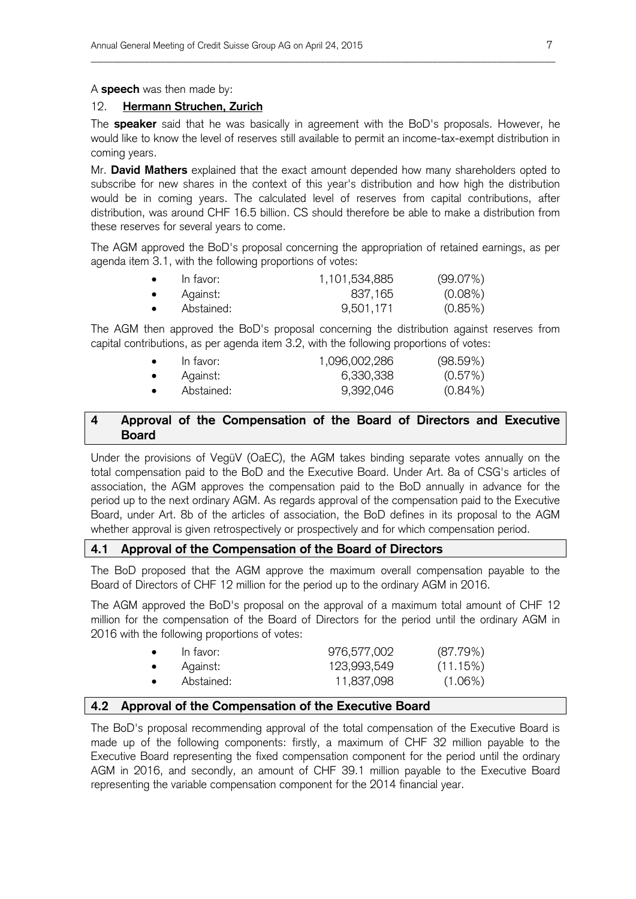A **speech** was then made by:

#### 12. **Hermann Struchen, Zurich**

The **speaker** said that he was basically in agreement with the BoD's proposals. However, he would like to know the level of reserves still available to permit an income-tax-exempt distribution in coming years.

\_\_\_\_\_\_\_\_\_\_\_\_\_\_\_\_\_\_\_\_\_\_\_\_\_\_\_\_\_\_\_\_\_\_\_\_\_\_\_\_\_\_\_\_\_\_\_\_\_\_\_\_\_\_\_\_\_\_\_\_\_\_\_\_\_\_\_\_\_\_\_\_\_\_\_\_\_\_\_\_\_\_\_\_\_\_\_

Mr. **David Mathers** explained that the exact amount depended how many shareholders opted to subscribe for new shares in the context of this year's distribution and how high the distribution would be in coming years. The calculated level of reserves from capital contributions, after distribution, was around CHF 16.5 billion. CS should therefore be able to make a distribution from these reserves for several years to come.

The AGM approved the BoD's proposal concerning the appropriation of retained earnings, as per agenda item 3.1, with the following proportions of votes:

| In favor:  | 1,101,534,885 | (99.07%)   |
|------------|---------------|------------|
| Against:   | 837,165       | $(0.08\%)$ |
| Abstained: | 9,501,171     | $(0.85\%)$ |

The AGM then approved the BoD's proposal concerning the distribution against reserves from capital contributions, as per agenda item 3.2, with the following proportions of votes:

| $\bullet$ | In favor:  | 1,096,002,286 | (98.59%)   |
|-----------|------------|---------------|------------|
| $\bullet$ | Against:   | 6,330,338     | (0.57%)    |
|           | Abstained: | 9,392,046     | $(0.84\%)$ |

### **4 Approval of the Compensation of the Board of Directors and Executive Board**

Under the provisions of VegüV (OaEC), the AGM takes binding separate votes annually on the total compensation paid to the BoD and the Executive Board. Under Art. 8a of CSG's articles of association, the AGM approves the compensation paid to the BoD annually in advance for the period up to the next ordinary AGM. As regards approval of the compensation paid to the Executive Board, under Art. 8b of the articles of association, the BoD defines in its proposal to the AGM whether approval is given retrospectively or prospectively and for which compensation period.

#### **4.1 Approval of the Compensation of the Board of Directors**

The BoD proposed that the AGM approve the maximum overall compensation payable to the Board of Directors of CHF 12 million for the period up to the ordinary AGM in 2016.

The AGM approved the BoD's proposal on the approval of a maximum total amount of CHF 12 million for the compensation of the Board of Directors for the period until the ordinary AGM in 2016 with the following proportions of votes:

| $\bullet$ | In favor:  | 976,577,002 | (87.79%)   |
|-----------|------------|-------------|------------|
| $\bullet$ | Against:   | 123,993,549 | (11.15%)   |
| $\bullet$ | Abstained: | 11,837,098  | $(1.06\%)$ |

#### **4.2 Approval of the Compensation of the Executive Board**

The BoD's proposal recommending approval of the total compensation of the Executive Board is made up of the following components: firstly, a maximum of CHF 32 million payable to the Executive Board representing the fixed compensation component for the period until the ordinary AGM in 2016, and secondly, an amount of CHF 39.1 million payable to the Executive Board representing the variable compensation component for the 2014 financial year.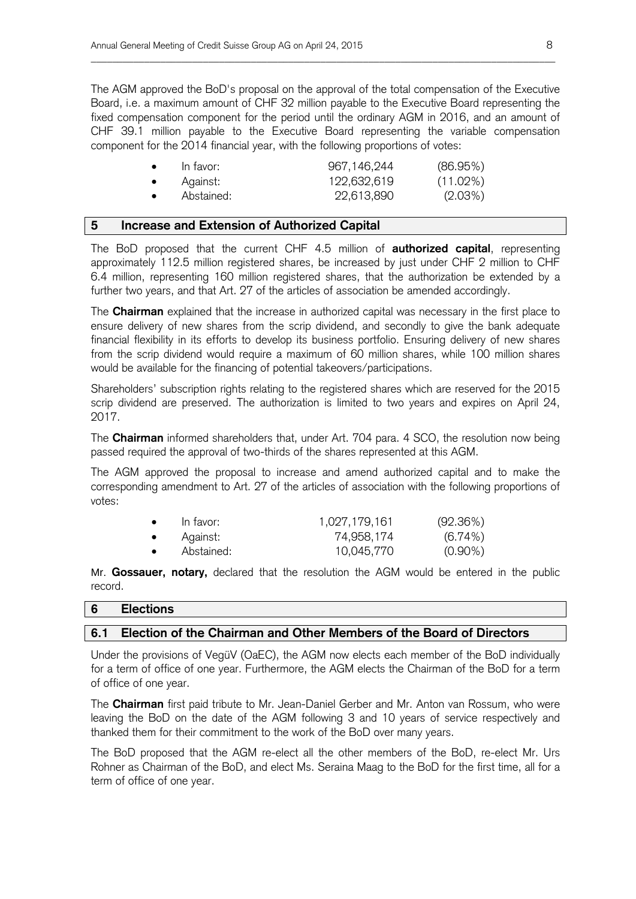The AGM approved the BoD's proposal on the approval of the total compensation of the Executive Board, i.e. a maximum amount of CHF 32 million payable to the Executive Board representing the fixed compensation component for the period until the ordinary AGM in 2016, and an amount of CHF 39.1 million payable to the Executive Board representing the variable compensation component for the 2014 financial year, with the following proportions of votes:

\_\_\_\_\_\_\_\_\_\_\_\_\_\_\_\_\_\_\_\_\_\_\_\_\_\_\_\_\_\_\_\_\_\_\_\_\_\_\_\_\_\_\_\_\_\_\_\_\_\_\_\_\_\_\_\_\_\_\_\_\_\_\_\_\_\_\_\_\_\_\_\_\_\_\_\_\_\_\_\_\_\_\_\_\_\_\_

|           | In favor:  | 967,146,244 | (86.95%)    |
|-----------|------------|-------------|-------------|
|           | Against:   | 122,632,619 | $(11.02\%)$ |
| $\bullet$ | Abstained: | 22,613,890  | $(2.03\%)$  |

#### **5 Increase and Extension of Authorized Capital**

The BoD proposed that the current CHF 4.5 million of **authorized capital**, representing approximately 112.5 million registered shares, be increased by just under CHF 2 million to CHF 6.4 million, representing 160 million registered shares, that the authorization be extended by a further two years, and that Art. 27 of the articles of association be amended accordingly.

The **Chairman** explained that the increase in authorized capital was necessary in the first place to ensure delivery of new shares from the scrip dividend, and secondly to give the bank adequate financial flexibility in its efforts to develop its business portfolio. Ensuring delivery of new shares from the scrip dividend would require a maximum of 60 million shares, while 100 million shares would be available for the financing of potential takeovers/participations.

Shareholders' subscription rights relating to the registered shares which are reserved for the 2015 scrip dividend are preserved. The authorization is limited to two years and expires on April 24, 2017.

The **Chairman** informed shareholders that, under Art. 704 para. 4 SCO, the resolution now being passed required the approval of two-thirds of the shares represented at this AGM.

The AGM approved the proposal to increase and amend authorized capital and to make the corresponding amendment to Art. 27 of the articles of association with the following proportions of votes:

| $\bullet$ | In favor:  | 1,027,179,161 | (92.36%)   |
|-----------|------------|---------------|------------|
| $\bullet$ | Against:   | 74,958,174    | $(6.74\%)$ |
| $\bullet$ | Abstained: | 10,045,770    | $(0.90\%)$ |

Mr. **Gossauer, notary,** declared that the resolution the AGM would be entered in the public record.

| 6 | .<br><b>Elections</b> |
|---|-----------------------|
|   |                       |

#### **6.1 Election of the Chairman and Other Members of the Board of Directors**

Under the provisions of VegüV (OaEC), the AGM now elects each member of the BoD individually for a term of office of one year. Furthermore, the AGM elects the Chairman of the BoD for a term of office of one year.

The **Chairman** first paid tribute to Mr. Jean-Daniel Gerber and Mr. Anton van Rossum, who were leaving the BoD on the date of the AGM following 3 and 10 years of service respectively and thanked them for their commitment to the work of the BoD over many years.

The BoD proposed that the AGM re-elect all the other members of the BoD, re-elect Mr. Urs Rohner as Chairman of the BoD, and elect Ms. Seraina Maag to the BoD for the first time, all for a term of office of one year.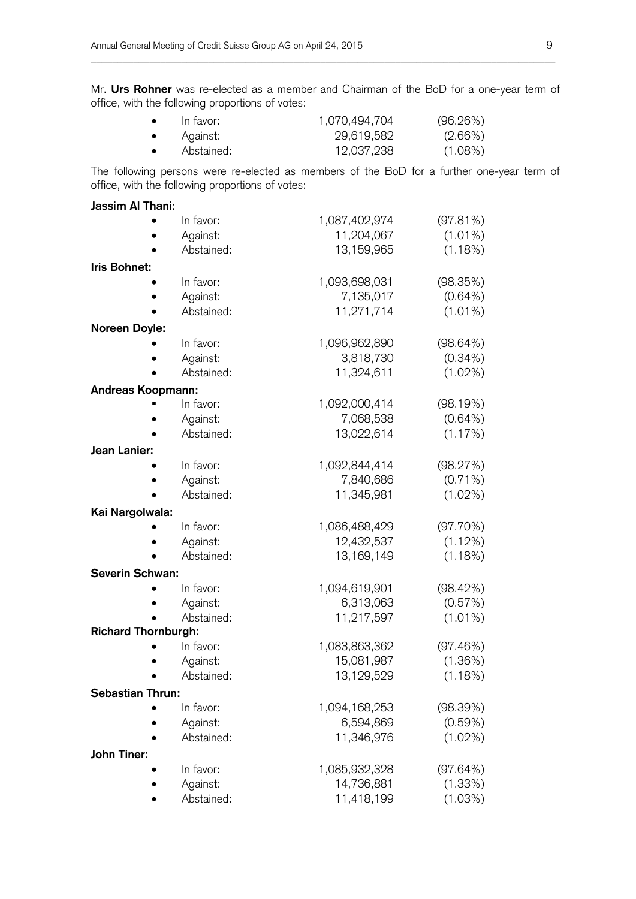Mr. **Urs Rohner** was re-elected as a member and Chairman of the BoD for a one-year term of office, with the following proportions of votes:

\_\_\_\_\_\_\_\_\_\_\_\_\_\_\_\_\_\_\_\_\_\_\_\_\_\_\_\_\_\_\_\_\_\_\_\_\_\_\_\_\_\_\_\_\_\_\_\_\_\_\_\_\_\_\_\_\_\_\_\_\_\_\_\_\_\_\_\_\_\_\_\_\_\_\_\_\_\_\_\_\_\_\_\_\_\_\_

| $\bullet$ | In favor:  | 1,070,494,704 | (96.26%)   |
|-----------|------------|---------------|------------|
| $\bullet$ | Against:   | 29,619,582    | $(2.66\%)$ |
| $\bullet$ | Abstained: | 12,037,238    | $(1.08\%)$ |

The following persons were re-elected as members of the BoD for a further one-year term of office, with the following proportions of votes:

| Jassim Al Thani:           |            |               |            |
|----------------------------|------------|---------------|------------|
|                            | In favor:  | 1,087,402,974 | (97.81%)   |
|                            | Against:   | 11,204,067    | $(1.01\%)$ |
|                            | Abstained: | 13,159,965    | (1.18%)    |
| Iris Bohnet:               |            |               |            |
|                            | In favor:  | 1,093,698,031 | (98.35%)   |
|                            | Against:   | 7,135,017     | $(0.64\%)$ |
|                            | Abstained: | 11,271,714    | $(1.01\%)$ |
| Noreen Doyle:              |            |               |            |
|                            | In favor:  | 1,096,962,890 | (98.64%)   |
|                            | Against:   | 3,818,730     | $(0.34\%)$ |
|                            | Abstained: | 11,324,611    | $(1.02\%)$ |
| Andreas Koopmann:          |            |               |            |
|                            | In favor:  | 1,092,000,414 | (98.19%)   |
|                            | Against:   | 7,068,538     | $(0.64\%)$ |
|                            | Abstained: | 13,022,614    | (1.17%)    |
| Jean Lanier:               |            |               |            |
|                            | In favor:  | 1,092,844,414 | (98.27%)   |
|                            | Against:   | 7,840,686     | $(0.71\%)$ |
|                            | Abstained: | 11,345,981    | $(1.02\%)$ |
| Kai Nargolwala:            |            |               |            |
|                            | In favor:  | 1,086,488,429 | (97.70%)   |
|                            | Against:   | 12,432,537    | (1.12%)    |
|                            | Abstained: | 13, 169, 149  | (1.18%)    |
| <b>Severin Schwan:</b>     |            |               |            |
|                            | In favor:  | 1,094,619,901 | (98.42%)   |
|                            | Against:   | 6,313,063     | (0.57%)    |
|                            | Abstained: | 11,217,597    | $(1.01\%)$ |
| <b>Richard Thornburgh:</b> |            |               |            |
|                            | In favor:  | 1,083,863,362 | (97.46%)   |
|                            | Against:   | 15,081,987    | (1.36%)    |
|                            | Abstained: | 13,129,529    | (1.18%)    |
| <b>Sebastian Thrun:</b>    |            |               |            |
|                            | In favor:  | 1,094,168,253 | (98.39%)   |
|                            | Against:   | 6,594,869     | (0.59%)    |
|                            | Abstained: | 11,346,976    | $(1.02\%)$ |
| John Tiner:                |            |               |            |
|                            | In favor:  | 1,085,932,328 | (97.64%)   |
|                            | Against:   | 14,736,881    | (1.33%)    |
|                            | Abstained: | 11,418,199    | (1.03%)    |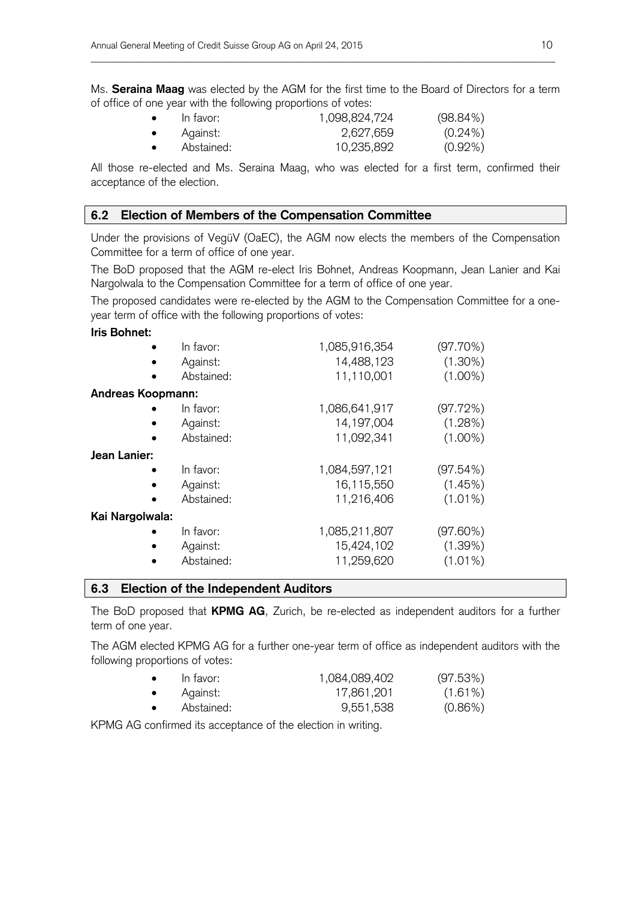Ms. **Seraina Maag** was elected by the AGM for the first time to the Board of Directors for a term of office of one year with the following proportions of votes:

\_\_\_\_\_\_\_\_\_\_\_\_\_\_\_\_\_\_\_\_\_\_\_\_\_\_\_\_\_\_\_\_\_\_\_\_\_\_\_\_\_\_\_\_\_\_\_\_\_\_\_\_\_\_\_\_\_\_\_\_\_\_\_\_\_\_\_\_\_\_\_\_\_\_\_\_\_\_\_\_\_\_\_\_\_\_\_

| $\bullet$ | In favor:  | 1,098,824,724 | $(98.84\%)$ |
|-----------|------------|---------------|-------------|
| $\bullet$ | Against:   | 2,627,659     | $(0.24\%)$  |
|           | Abstained: | 10,235,892    | $(0.92\%)$  |

All those re-elected and Ms. Seraina Maag, who was elected for a first term, confirmed their acceptance of the election.

#### **6.2 Election of Members of the Compensation Committee**

Under the provisions of VegüV (OaEC), the AGM now elects the members of the Compensation Committee for a term of office of one year.

The BoD proposed that the AGM re-elect Iris Bohnet, Andreas Koopmann, Jean Lanier and Kai Nargolwala to the Compensation Committee for a term of office of one year.

The proposed candidates were re-elected by the AGM to the Compensation Committee for a oneyear term of office with the following proportions of votes:

#### **Iris Bohnet:**

|                          | In favor:  | 1,085,916,354 | (97.70%)   |
|--------------------------|------------|---------------|------------|
|                          | Against:   | 14,488,123    | $(1.30\%)$ |
|                          | Abstained: | 11,110,001    | $(1.00\%)$ |
| <b>Andreas Koopmann:</b> |            |               |            |
|                          | In favor:  | 1,086,641,917 | (97.72%)   |
|                          | Against:   | 14, 197, 004  | (1.28%)    |
|                          | Abstained: | 11,092,341    | $(1.00\%)$ |
| Jean Lanier:             |            |               |            |
|                          | In favor:  | 1,084,597,121 | (97.54%)   |
|                          | Against:   | 16,115,550    | (1.45%)    |
|                          | Abstained: | 11,216,406    | $(1.01\%)$ |
| Kai Nargolwala:          |            |               |            |
|                          | In favor:  | 1,085,211,807 | (97.60%)   |
|                          | Against:   | 15,424,102    | (1.39%)    |
|                          | Abstained: | 11,259,620    | $(1.01\%)$ |

#### **6.3 Election of the Independent Auditors**

The BoD proposed that **KPMG AG**, Zurich, be re-elected as independent auditors for a further term of one year.

The AGM elected KPMG AG for a further one-year term of office as independent auditors with the following proportions of votes:

| In favor:  | 1,084,089,402 | (97.53%)   |
|------------|---------------|------------|
| Against:   | 17,861,201    | $(1.61\%)$ |
| Abstained: | 9,551,538     | $(0.86\%)$ |

KPMG AG confirmed its acceptance of the election in writing.